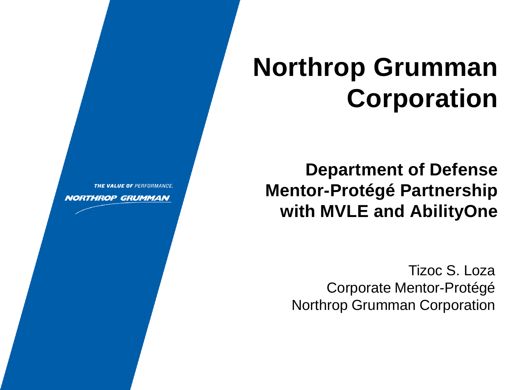# **Northrop Grumman Corporation**

**Department of Defense Mentor-Protégé Partnership with MVLE and AbilityOne**

> Tizoc S. Loza Corporate Mentor-Protégé Northrop Grumman Corporation



**NORTHROP GRUMMAN**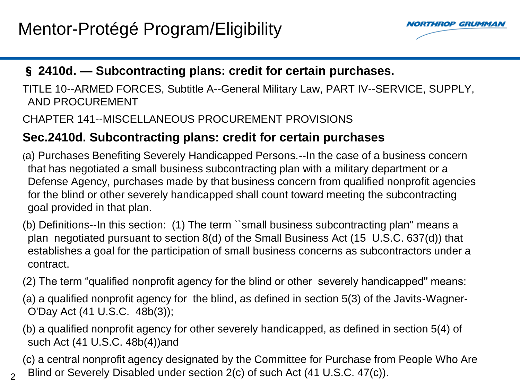$\mathfrak{D}$ 



#### § **2410d. — Subcontracting plans: credit for certain purchases.**

TITLE 10--ARMED FORCES, Subtitle A--General Military Law, PART IV--SERVICE, SUPPLY, AND PROCUREMENT

#### CHAPTER 141--MISCELLANEOUS PROCUREMENT PROVISIONS

#### **Sec.2410d. Subcontracting plans: credit for certain purchases**

(a) Purchases Benefiting Severely Handicapped Persons.--In the case of a business concern that has negotiated a small business subcontracting plan with a military department or a Defense Agency, purchases made by that business concern from qualified nonprofit agencies for the blind or other severely handicapped shall count toward meeting the subcontracting goal provided in that plan.

(b) Definitions--In this section: (1) The term ``small business subcontracting plan'' means a plan negotiated pursuant to section 8(d) of the Small Business Act (15 U.S.C. 637(d)) that establishes a goal for the participation of small business concerns as subcontractors under a contract.

- (2) The term "qualified nonprofit agency for the blind or other severely handicapped'' means:
- (a) a qualified nonprofit agency for the blind, as defined in section 5(3) of the Javits-Wagner-O'Day Act (41 U.S.C. 48b(3));
- (b) a qualified nonprofit agency for other severely handicapped, as defined in section 5(4) of such Act (41 U.S.C. 48b(4))and
- (c) a central nonprofit agency designated by the Committee for Purchase from People Who Are Blind or Severely Disabled under section 2(c) of such Act (41 U.S.C. 47(c)).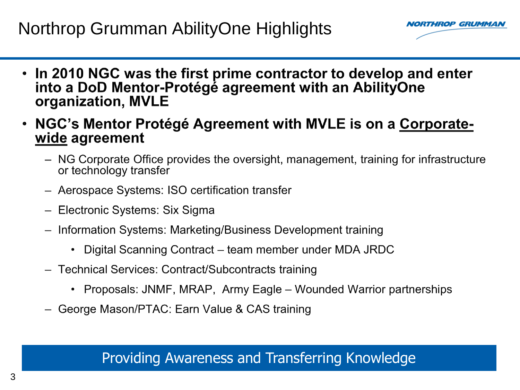## Northrop Grumman AbilityOne Highlights



- In 2010 NGC was the first prime contractor to develop and enter  $\bullet$ into a DoD Mentor-Protégé agreement with an AbilityOne organization, MVLE
- NGC's Mentor Protégé Agreement with MVLE is on a Corporatewide agreement
	- NG Corporate Office provides the oversight, management, training for infrastructure or technology transfer
	- Aerospace Systems: ISO certification transfer
	- Electronic Systems: Six Sigma
	- Information Systems: Marketing/Business Development training
		- Digital Scanning Contract team member under MDA JRDC  $\bullet$
	- Technical Services: Contract/Subcontracts training
		- Proposals: JNMF, MRAP, Army Eagle Wounded Warrior partnerships
	- George Mason/PTAC: Earn Value & CAS training

#### Providing Awareness and Transferring Knowledge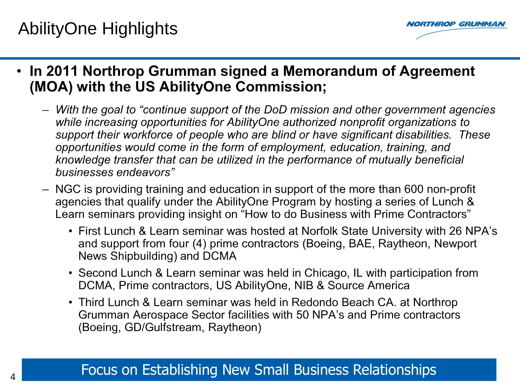## AbilityOne Highlights



• In 2011 Northrop Grumman signed a Memorandum of Agreement (MOA) with the US AbilityOne Commission;

- With the goal to "continue support of the DoD mission and other government agencies while increasing opportunities for AbilityOne authorized nonprofit organizations to support their workforce of people who are blind or have significant disabilities. These opportunities would come in the form of employment, education, training, and knowledge transfer that can be utilized in the performance of mutually beneficial businesses endeavors"
- NGC is providing training and education in support of the more than 600 non-profit agencies that qualify under the AbilityOne Program by hosting a series of Lunch & Learn seminars providing insight on "How to do Business with Prime Contractors"
	- First Lunch & Learn seminar was hosted at Norfolk State University with 26 NPA's and support from four (4) prime contractors (Boeing, BAE, Raytheon, Newport News Shipbuilding) and DCMA
	- Second Lunch & Learn seminar was held in Chicago, IL with participation from DCMA, Prime contractors, US AbilityOne, NIB & Source America
	- Third Lunch & Learn seminar was held in Redondo Beach CA. at Northrop Grumman Aerospace Sector facilities with 50 NPA's and Prime contractors (Boeing, GD/Gulfstream, Raytheon)

#### Focus on Establishing New Small Business Relationships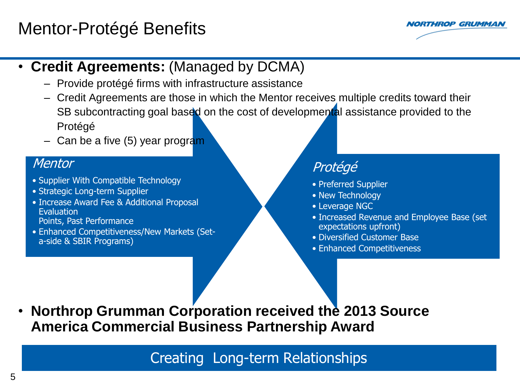## Mentor-Protégé Benefits



#### • **Credit Agreements:** (Managed by DCMA)

- Provide protégé firms with infrastructure assistance
- Credit Agreements are those in which the Mentor receives multiple credits toward their SB subcontracting goal based on the cost of developmental assistance provided to the Protégé
- Can be a five  $(5)$  year program

#### **Mentor**

- Supplier With Compatible Technology
- Strategic Long-term Supplier
- Increase Award Fee & Additional Proposal Evaluation Points, Past Performance
- Enhanced Competitiveness/New Markets (Seta-side & SBIR Programs)

#### Protégé

- Preferred Supplier
- New Technology
- Leverage NGC
- Increased Revenue and Employee Base (set expectations upfront)
- Diversified Customer Base
- Enhanced Competitiveness

• **Northrop Grumman Corporation received the 2013 Source America Commercial Business Partnership Award**

Creating Long-term Relationships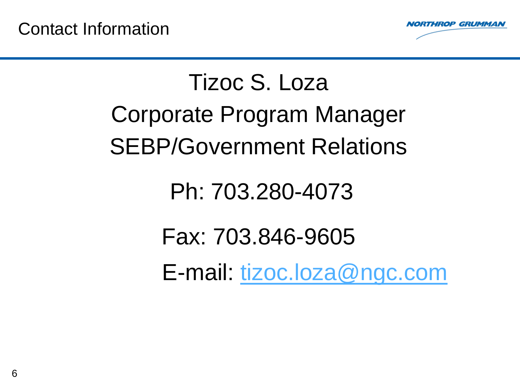

# Tizoc S. Loza Corporate Program Manager SEBP/Government Relations

## Ph: 703.280-4073

# Fax: 703.846-9605

E-mail: [tizoc.loza@ngc.com](mailto:tizoc.loza@ngc.com)